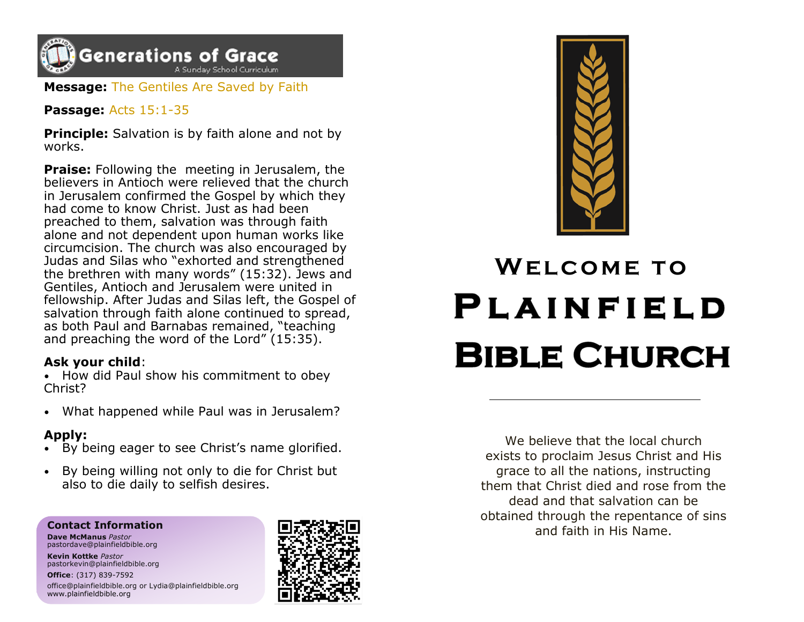

**Message:** The Gentiles Are Saved by Faith

**Passage:** Acts 15:1-35

**Principle:** Salvation is by faith alone and not by works.

**Praise:** Following the meeting in Jerusalem, the believers in Antioch were relieved that the church in Jerusalem confirmed the Gospel by which they had come to know Christ. Just as had been preached to them, salvation was through faith alone and not dependent upon human works like circumcision. The church was also encouraged by Judas and Silas who "exhorted and strengthened the brethren with many words" (15:32). Jews and Gentiles, Antioch and Jerusalem were united in fellowship. After Judas and Silas left, the Gospel of salvation through faith alone continued to spread, as both Paul and Barnabas remained, "teaching and preaching the word of the Lord" (15:35).

#### **Ask your child**:

• How did Paul show his commitment to obey Christ?

• What happened while Paul was in Jerusalem?

#### **Apply:**

- By being eager to see Christ's name glorified.
- By being willing not only to die for Christ but also to die daily to selfish desires.

#### **Contact Information**

**Dave McManus** *Pastor* pastordave@plainfieldbible.org

**Kevin Kottke** *Pastor* pastorkevin@plainfieldbible.org

**Office**: (317) 839-7592 office@plainfieldbible.org or Lydia@plainfieldbible.org www.plainfieldbible.org





# WELCOME TO **PLAINFIELD BIBLE CHURCH**

We believe that the local church exists to proclaim Jesus Christ and His grace to all the nations, instructing them that Christ died and rose from the dead and that salvation can be obtained through the repentance of sins and faith in His Name.